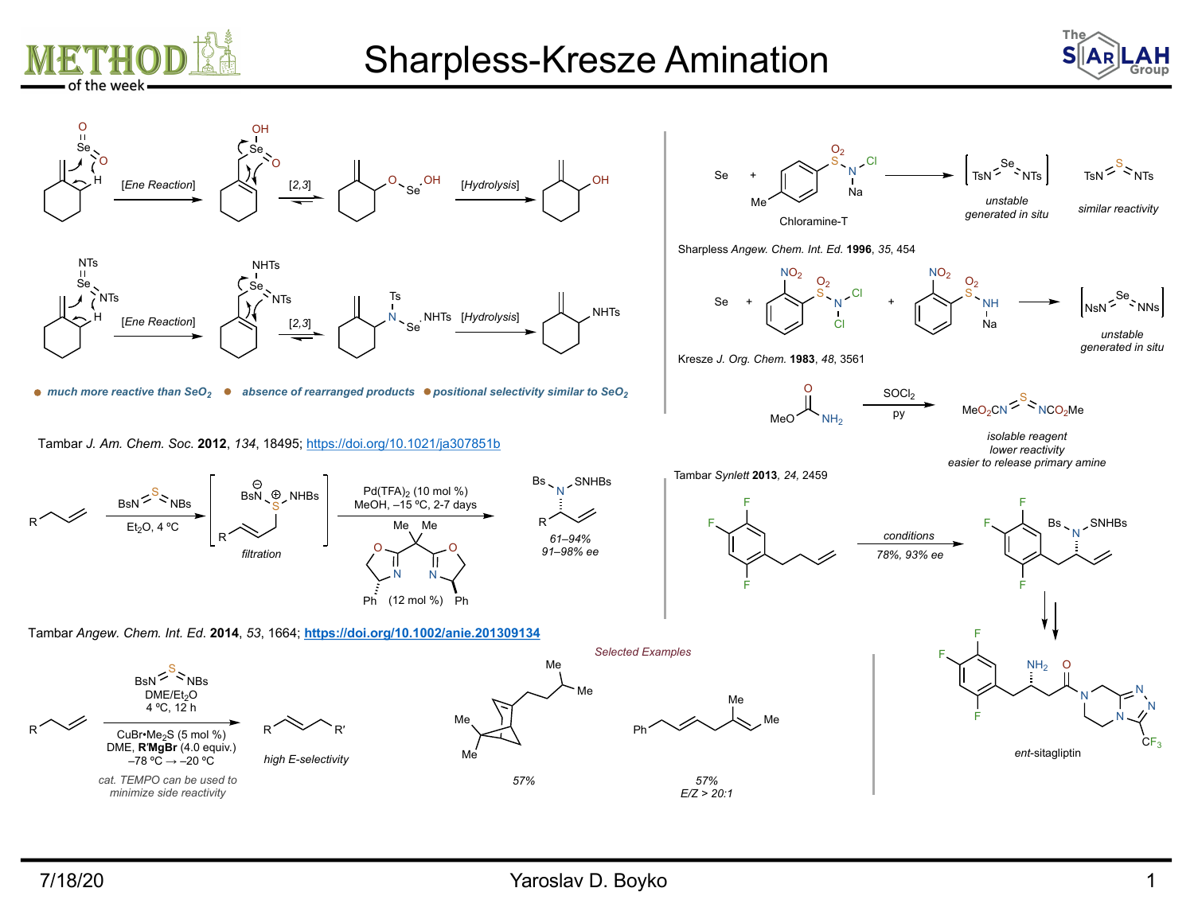